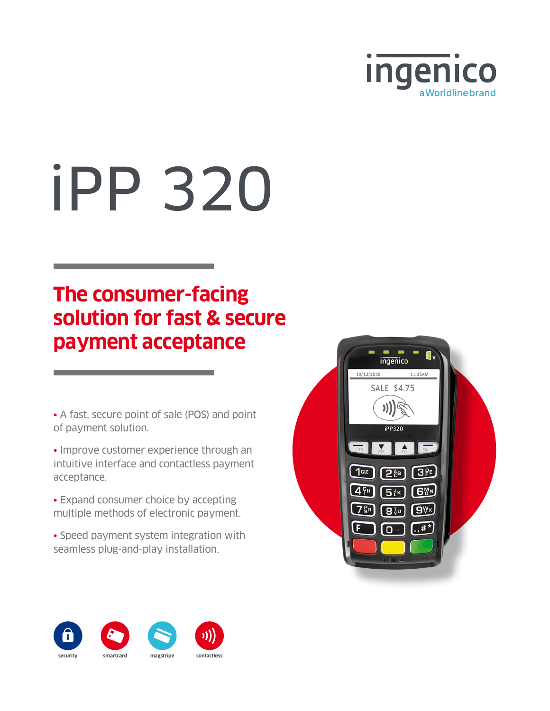

# iPP 320

## **The consumer-facing solution for fast & secure payment acceptance**

• A fast, secure point of sale (POS) and point of payment solution.

• Improve customer experience through an intuitive interface and contactless payment acceptance.

• Expand consumer choice by accepting multiple methods of electronic payment.

• Speed payment system integration with seamless plug-and-play installation.